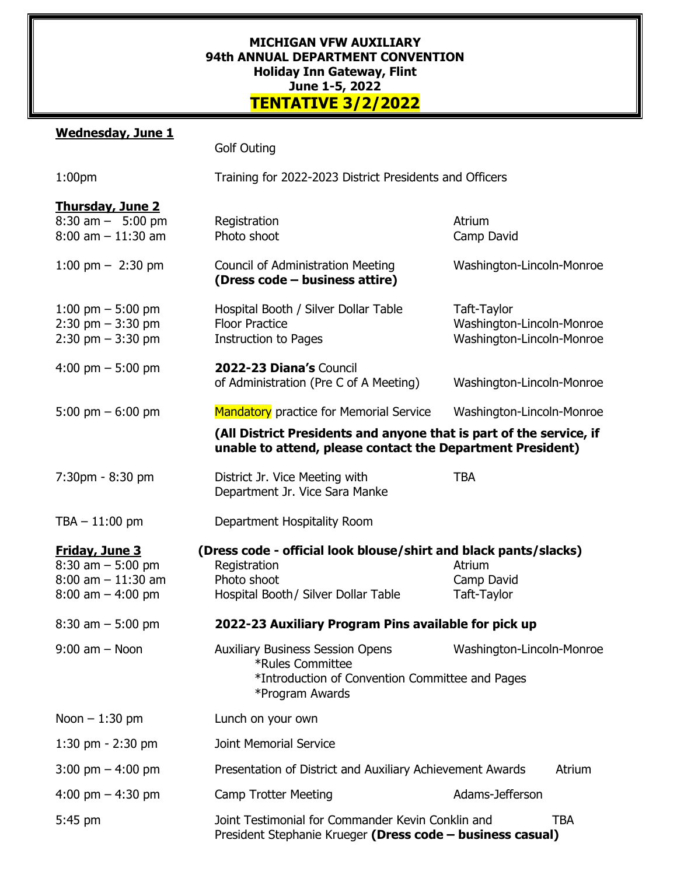## **MICHIGAN VFW AUXILIARY 94th ANNUAL DEPARTMENT CONVENTION Holiday Inn Gateway, Flint June 1-5, 2022 TENTATIVE 3/2/2022**

## **Wednesday, June 1**

|                                                                                                | <b>Golf Outing</b>                                                                                                                      |                                                                       |  |
|------------------------------------------------------------------------------------------------|-----------------------------------------------------------------------------------------------------------------------------------------|-----------------------------------------------------------------------|--|
| 1:00 <sub>pm</sub>                                                                             | Training for 2022-2023 District Presidents and Officers                                                                                 |                                                                       |  |
| <b>Thursday, June 2</b><br>$8:30$ am $-$ 5:00 pm<br>$8:00$ am $-11:30$ am                      | Registration<br>Photo shoot                                                                                                             | Atrium<br>Camp David                                                  |  |
| 1:00 pm $-$ 2:30 pm                                                                            | <b>Council of Administration Meeting</b><br>(Dress code - business attire)                                                              | Washington-Lincoln-Monroe                                             |  |
| 1:00 pm $-$ 5:00 pm<br>$2:30$ pm $-3:30$ pm<br>$2:30 \text{ pm} - 3:30 \text{ pm}$             | Hospital Booth / Silver Dollar Table<br><b>Floor Practice</b><br><b>Instruction to Pages</b>                                            | Taft-Taylor<br>Washington-Lincoln-Monroe<br>Washington-Lincoln-Monroe |  |
| 4:00 pm $-$ 5:00 pm                                                                            | 2022-23 Diana's Council<br>of Administration (Pre C of A Meeting)                                                                       | Washington-Lincoln-Monroe                                             |  |
| 5:00 pm $-6:00$ pm                                                                             | <b>Mandatory</b> practice for Memorial Service                                                                                          | Washington-Lincoln-Monroe                                             |  |
|                                                                                                | (All District Presidents and anyone that is part of the service, if<br>unable to attend, please contact the Department President)       |                                                                       |  |
| 7:30pm - 8:30 pm                                                                               | District Jr. Vice Meeting with<br>Department Jr. Vice Sara Manke                                                                        | <b>TBA</b>                                                            |  |
| $TBA - 11:00 \text{ pm}$                                                                       | Department Hospitality Room                                                                                                             |                                                                       |  |
| <b>Friday, June 3</b><br>$8:30$ am $-5:00$ pm<br>$8:00$ am $-11:30$ am<br>$8:00$ am $-4:00$ pm | (Dress code - official look blouse/shirt and black pants/slacks)<br>Registration<br>Photo shoot<br>Hospital Booth / Silver Dollar Table | Atrium<br>Camp David<br>Taft-Taylor                                   |  |
| $8:30$ am $-5:00$ pm                                                                           | 2022-23 Auxiliary Program Pins available for pick up                                                                                    |                                                                       |  |
| $9:00$ am $-$ Noon                                                                             | <b>Auxiliary Business Session Opens</b><br>*Rules Committee<br>*Introduction of Convention Committee and Pages<br>*Program Awards       | Washington-Lincoln-Monroe                                             |  |
| Noon $-1:30$ pm                                                                                | Lunch on your own                                                                                                                       |                                                                       |  |
| 1:30 pm $-$ 2:30 pm                                                                            | <b>Joint Memorial Service</b>                                                                                                           |                                                                       |  |
| 3:00 pm $-$ 4:00 pm                                                                            | Presentation of District and Auxiliary Achievement Awards<br>Atrium                                                                     |                                                                       |  |
| 4:00 pm $-$ 4:30 pm                                                                            | <b>Camp Trotter Meeting</b>                                                                                                             | Adams-Jefferson                                                       |  |
| 5:45 pm                                                                                        | Joint Testimonial for Commander Kevin Conklin and<br><b>TBA</b><br>President Stephanie Krueger (Dress code - business casual)           |                                                                       |  |